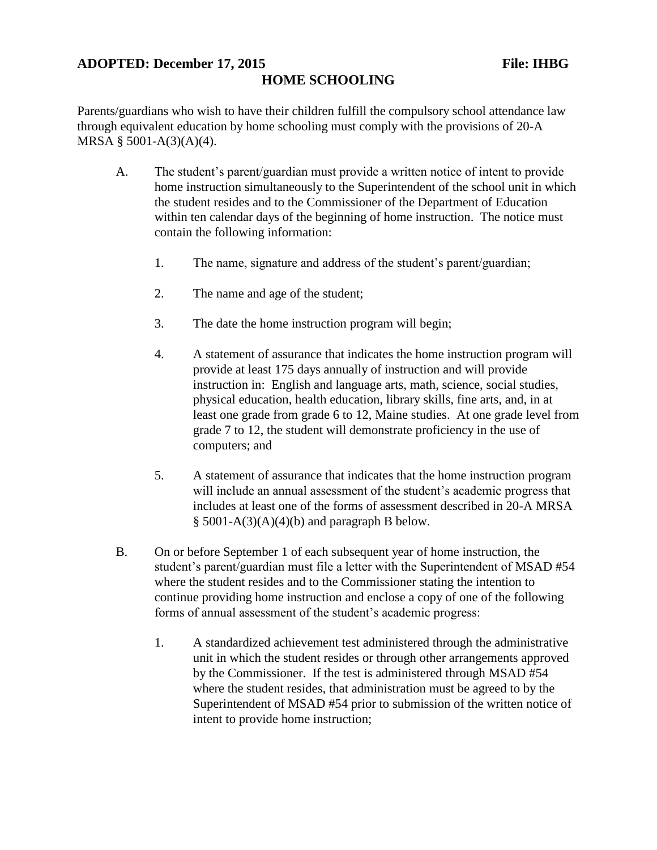## **ADOPTED: December 17, 2015 File: IHBG HOME SCHOOLING**

Parents/guardians who wish to have their children fulfill the compulsory school attendance law through equivalent education by home schooling must comply with the provisions of 20-A MRSA § 5001-A(3)(A)(4).

- A. The student's parent/guardian must provide a written notice of intent to provide home instruction simultaneously to the Superintendent of the school unit in which the student resides and to the Commissioner of the Department of Education within ten calendar days of the beginning of home instruction. The notice must contain the following information:
	- 1. The name, signature and address of the student's parent/guardian;
	- 2. The name and age of the student;
	- 3. The date the home instruction program will begin;
	- 4. A statement of assurance that indicates the home instruction program will provide at least 175 days annually of instruction and will provide instruction in: English and language arts, math, science, social studies, physical education, health education, library skills, fine arts, and, in at least one grade from grade 6 to 12, Maine studies. At one grade level from grade 7 to 12, the student will demonstrate proficiency in the use of computers; and
	- 5. A statement of assurance that indicates that the home instruction program will include an annual assessment of the student's academic progress that includes at least one of the forms of assessment described in 20-A MRSA  $§$  5001-A(3)(A)(4)(b) and paragraph B below.
- B. On or before September 1 of each subsequent year of home instruction, the student's parent/guardian must file a letter with the Superintendent of MSAD #54 where the student resides and to the Commissioner stating the intention to continue providing home instruction and enclose a copy of one of the following forms of annual assessment of the student's academic progress:
	- 1. A standardized achievement test administered through the administrative unit in which the student resides or through other arrangements approved by the Commissioner. If the test is administered through MSAD #54 where the student resides, that administration must be agreed to by the Superintendent of MSAD #54 prior to submission of the written notice of intent to provide home instruction;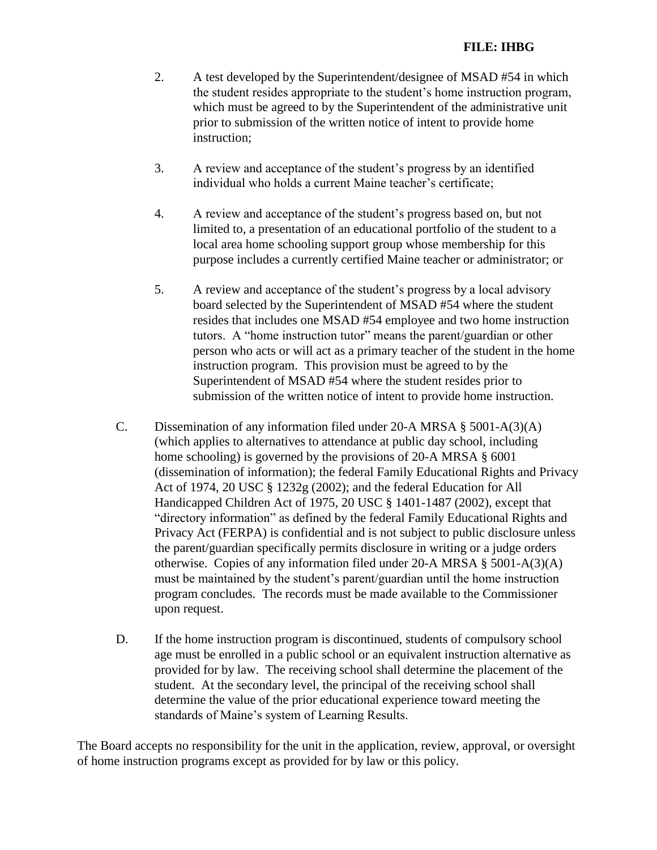## **FILE: IHBG**

- 2. A test developed by the Superintendent/designee of MSAD #54 in which the student resides appropriate to the student's home instruction program, which must be agreed to by the Superintendent of the administrative unit prior to submission of the written notice of intent to provide home instruction;
- 3. A review and acceptance of the student's progress by an identified individual who holds a current Maine teacher's certificate;
- 4. A review and acceptance of the student's progress based on, but not limited to, a presentation of an educational portfolio of the student to a local area home schooling support group whose membership for this purpose includes a currently certified Maine teacher or administrator; or
- 5. A review and acceptance of the student's progress by a local advisory board selected by the Superintendent of MSAD #54 where the student resides that includes one MSAD #54 employee and two home instruction tutors. A "home instruction tutor" means the parent/guardian or other person who acts or will act as a primary teacher of the student in the home instruction program. This provision must be agreed to by the Superintendent of MSAD #54 where the student resides prior to submission of the written notice of intent to provide home instruction.
- C. Dissemination of any information filed under 20-A MRSA § 5001-A(3)(A) (which applies to alternatives to attendance at public day school, including home schooling) is governed by the provisions of 20-A MRSA § 6001 (dissemination of information); the federal Family Educational Rights and Privacy Act of 1974, 20 USC § 1232g (2002); and the federal Education for All Handicapped Children Act of 1975, 20 USC § 1401-1487 (2002), except that "directory information" as defined by the federal Family Educational Rights and Privacy Act (FERPA) is confidential and is not subject to public disclosure unless the parent/guardian specifically permits disclosure in writing or a judge orders otherwise. Copies of any information filed under 20-A MRSA § 5001-A(3)(A) must be maintained by the student's parent/guardian until the home instruction program concludes. The records must be made available to the Commissioner upon request.
- D. If the home instruction program is discontinued, students of compulsory school age must be enrolled in a public school or an equivalent instruction alternative as provided for by law. The receiving school shall determine the placement of the student. At the secondary level, the principal of the receiving school shall determine the value of the prior educational experience toward meeting the standards of Maine's system of Learning Results.

The Board accepts no responsibility for the unit in the application, review, approval, or oversight of home instruction programs except as provided for by law or this policy.